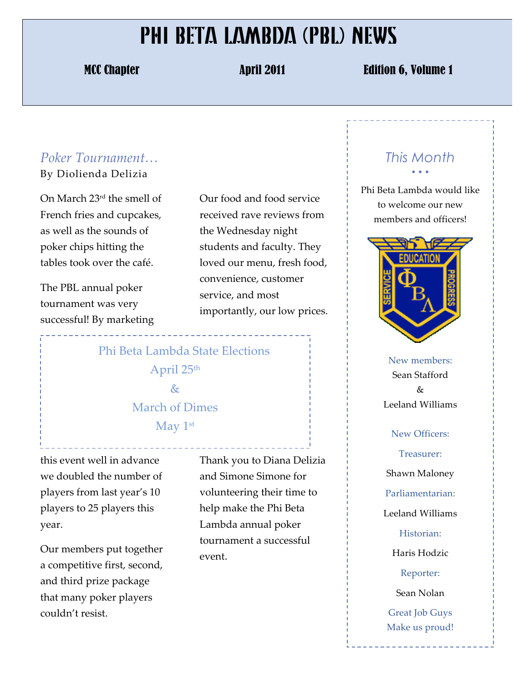## PHI BETA LAMBDA (PBL) NEWS

MCC Chapter April 2011 **Edition 6, Volume 1** 

## *Poker&Tournament…*

By!Diolienda!Delizia

On March  $23<sup>rd</sup>$  the smell of French fries and cupcakes, as well as the sounds of poker chips hitting the tables took over the café.

The PBL annual poker tournament was very successful! By marketing Our food and food service received rave reviews from the Wednesday night students and faculty. They loved our menu, fresh food, convenience, customer service, and most importantly, our low prices.

Phi Beta Lambda State Elections April 25<sup>th</sup>  $\&$ March of Dimes May  $1<sup>st</sup>$ 

this event well in advance we doubled the number of players from last year's 10 players to 25 players this year.

Our members put together a competitive first, second, and third prize package that many poker players couldn't resist.

Thank you to Diana Delizia and Simone Simone for volunteering their time to help make the Phi Beta Lambda annual poker tournament a successful event.

## *This Month* • • •

Phi Beta Lambda would like to welcome our new members and officers!



New members: Sean Stafford  $\&$ Leeland!Williams

New Officers: Treasurer: Shawn Maloney Parliamentarian: Leeland!Williams Historian: Haris Hodzic Reporter: Sean Nolan Great Job Guys Make us proud!